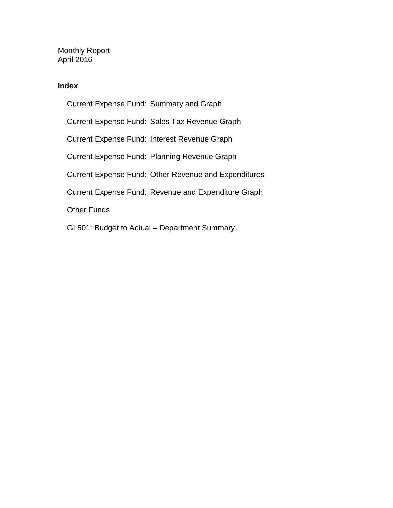Monthly Report April 2016

#### **Index**

Current Expense Fund: Summary and Graph Current Expense Fund: Sales Tax Revenue Graph Current Expense Fund: Interest Revenue Graph Current Expense Fund: Planning Revenue Graph Current Expense Fund: Other Revenue and Expenditures Current Expense Fund: Revenue and Expenditure Graph Other Funds GL501: Budget to Actual – Department Summary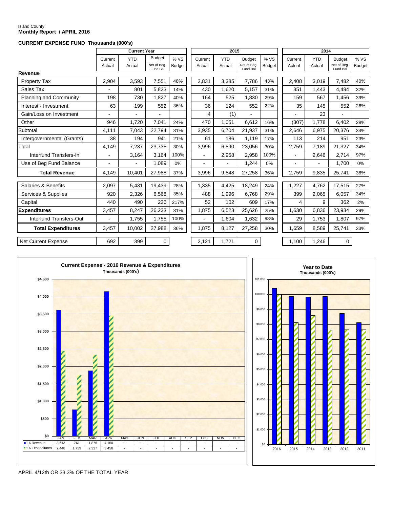# Island County **Monthly Report / APRIL 2016**

#### **CURRENT EXPENSE FUND Thousands (000's)**

|                            |                   | <b>Current Year</b>  |                                          |                      |                   | 2015                 |                                          |                      | 2014              |                      |                                          |                      |
|----------------------------|-------------------|----------------------|------------------------------------------|----------------------|-------------------|----------------------|------------------------------------------|----------------------|-------------------|----------------------|------------------------------------------|----------------------|
|                            | Current<br>Actual | <b>YTD</b><br>Actual | <b>Budget</b><br>Net of Bea.<br>Fund Bal | %VS<br><b>Budget</b> | Current<br>Actual | <b>YTD</b><br>Actual | <b>Budget</b><br>Net of Beg.<br>Fund Bal | %VS<br><b>Budget</b> | Current<br>Actual | <b>YTD</b><br>Actual | <b>Budget</b><br>Net of Bea.<br>Fund Bal | %VS<br><b>Budget</b> |
| Revenue                    |                   |                      |                                          |                      |                   |                      |                                          |                      |                   |                      |                                          |                      |
| Property Tax               | 2,904             | 3,593                | 7,551                                    | 48%                  | 2,831             | 3,385                | 7,786                                    | 43%                  | 2,408             | 3,019                | 7,482                                    | 40%                  |
| Sales Tax                  |                   | 801                  | 5,823                                    | 14%                  | 430               | 1.620                | 5,157                                    | 31%                  | 351               | 1,443                | 4,484                                    | 32%                  |
| Planning and Community     | 198               | 730                  | 1,827                                    | 40%                  | 164               | 525                  | 1.830                                    | 29%                  | 159               | 567                  | 1,456                                    | 39%                  |
| Interest - Investment      | 63                | 199                  | 552                                      | 36%                  | 36                | 124                  | 552                                      | 22%                  | 35                | 145                  | 552                                      | 26%                  |
| Gain/Loss on Investment    |                   |                      | $\overline{a}$                           |                      | 4                 | (1)                  | $\blacksquare$                           |                      |                   | 23                   | $\overline{a}$                           |                      |
| Other                      | 946               | 1,720                | 7.041                                    | 24%                  | 470               | 1,051                | 6.612                                    | 16%                  | (307)             | 1.778                | 6.402                                    | 28%                  |
| Subtotal                   | 4,111             | 7,043                | 22.794                                   | 31%                  | 3,935             | 6,704                | 21,937                                   | 31%                  | 2,646             | 6,975                | 20,376                                   | 34%                  |
| Intergovernmental (Grants) | 38                | 194                  | 941                                      | 21%                  | 61                | 186                  | 1.119                                    | 17%                  | 113               | 214                  | 951                                      | 23%                  |
| Total                      | 4,149             | 7,237                | 23,735                                   | 30%                  | 3,996             | 6,890                | 23,056                                   | 30%                  | 2,759             | 7,189                | 21,327                                   | 34%                  |
| Interfund Transfers-In     | $\blacksquare$    | 3,164                | 3,164                                    | 100%                 | ä,                | 2,958                | 2,958                                    | 100%                 |                   | 2,646                | 2,714                                    | 97%                  |
| Use of Beg Fund Balance    |                   |                      | 1,089                                    | 0%                   |                   | ÷.                   | 1,244                                    | 0%                   | $\blacksquare$    |                      | 1.700                                    | 0%                   |
| <b>Total Revenue</b>       | 4,149             | 10,401               | 27,988                                   | 37%                  | 3,996             | 9,848                | 27,258                                   | 36%                  | 2,759             | 9,835                | 25,741                                   | 38%                  |
| Salaries & Benefits        | 2,097             | 5,431                | 19,439                                   | 28%                  | 1,335             | 4.425                | 18,249                                   | 24%                  | 1,227             | 4.762                | 17,515                                   | 27%                  |
| Services & Supplies        | 920               | 2,326                | 6,568                                    | 35%                  | 488               | 1,996                | 6,768                                    | 29%                  | 399               | 2,065                | 6,057                                    | 34%                  |
| Capital                    | 440               | 490                  | 226                                      | 217%                 | 52                | 102                  | 609                                      | 17%                  | 4                 | 9                    | 362                                      | 2%                   |
| <b>Expenditures</b>        | 3,457             | 8,247                | 26,233                                   | 31%                  | 1,875             | 6,523                | 25,626                                   | 25%                  | 1,630             | 6.836                | 23,934                                   | 29%                  |
| Interfund Transfers-Out    |                   | 1,755                | 1,755                                    | 100%                 |                   | 1,604                | 1,632                                    | 98%                  | 29                | 1,753                | 1,807                                    | 97%                  |
| <b>Total Expenditures</b>  | 3,457             | 10,002               | 27,988                                   | 36%                  | 1.875             | 8,127                | 27,258                                   | 30%                  | 1.659             | 8,589                | 25,741                                   | 33%                  |
| Net Current Expense        | 692               | 399                  | $\mathbf 0$                              |                      | 2,121             | 1,721                | $\mathbf 0$                              |                      | 1,100             | 1,246                | 0                                        |                      |





APRIL 4/12th OR 33.3% OF THE TOTAL YEAR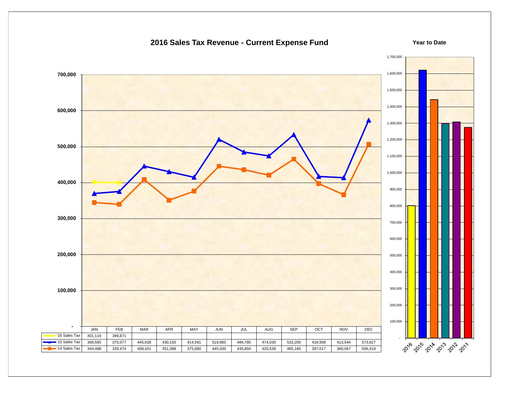#### 1,700,000 1,600,000  **700,000** 1,500,000 1,400,000  **600,000** 1,300,000 1,200,000  **500,000** 1,100,000 1,000,000  **400,000** 900,000 800,000  **300,000** 700,000 600,000  **200,000** 500,000 400,000 300,000  **100,000** 200,000 100,000  **-** JAN | FEB | MAR | APR | MAY | JUN | JUL | AUG | SEP | OCT | NOV | DEC  $|16 \text{ Sales Tax}$  401,119 399,871 - 2016 2019 2018 2019 2011 '15 Sales Tax | 369,565 | 375,077 | 445,638 | 430,150 | 414,591 | 519,985 | 484,785 | 474,030 | 533,206 | 416,958 | 413,544 | 573,627 '14 Sales Tax | 344,488 | 339,474 | 408,431 | 351,088 | 375,880 | 445,500 | 435,804 | 420,539 | 465,185 | 397,017 | 366,067 | 506,418

#### **2016 Sales Tax Revenue - Current Expense Fund**

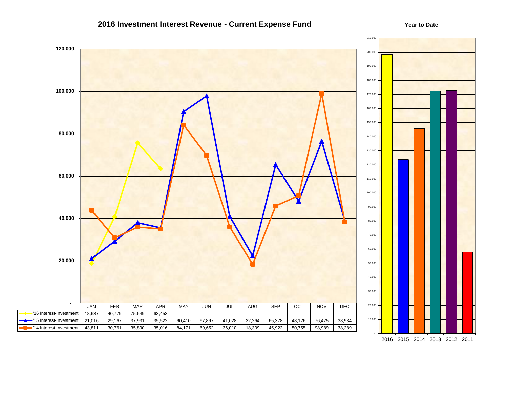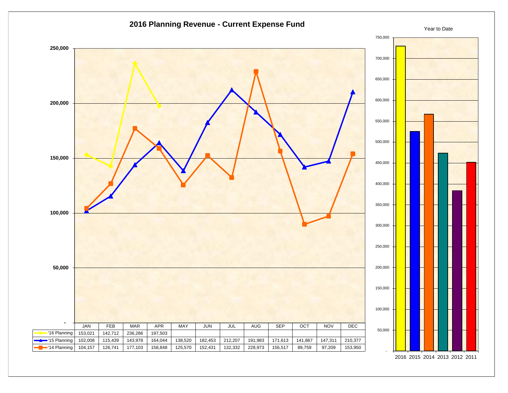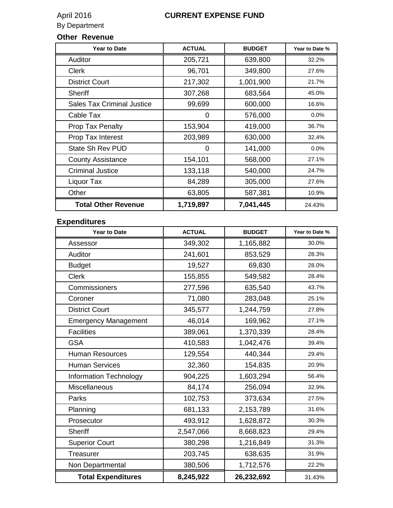# April 2016<br>By Department

### **CURRENT EXPENSE FUND**

## **Other Revenue**

| <b>Year to Date</b>               | <b>ACTUAL</b> | <b>BUDGET</b> | Year to Date % |
|-----------------------------------|---------------|---------------|----------------|
| Auditor                           | 205,721       | 639,800       | 32.2%          |
| <b>Clerk</b>                      | 96,701        | 349,800       | 27.6%          |
| <b>District Court</b>             | 217,302       | 1,001,900     | 21.7%          |
| <b>Sheriff</b>                    | 307,268       | 683,564       | 45.0%          |
| <b>Sales Tax Criminal Justice</b> | 99,699        | 600,000       | 16.6%          |
| Cable Tax                         | 0             | 576,000       | $0.0\%$        |
| Prop Tax Penalty                  | 153,904       | 419,000       | 36.7%          |
| Prop Tax Interest                 | 203,989       | 630,000       | 32.4%          |
| <b>State Sh Rev PUD</b>           | 0             | 141,000       | 0.0%           |
| <b>County Assistance</b>          | 154,101       | 568,000       | 27.1%          |
| <b>Criminal Justice</b>           | 133,118       | 540,000       | 24.7%          |
| Liquor Tax                        | 84,289        | 305,000       | 27.6%          |
| Other                             | 63,805        | 587,381       | 10.9%          |
| <b>Total Other Revenue</b>        | 1,719,897     | 7,041,445     | 24.43%         |

### **Expenditures**

| <b>Year to Date</b>         | <b>ACTUAL</b> | <b>BUDGET</b> | Year to Date % |
|-----------------------------|---------------|---------------|----------------|
| Assessor                    | 349,302       | 1,165,882     | 30.0%          |
| Auditor                     | 241,601       | 853,529       | 28.3%          |
| <b>Budget</b>               | 19,527        | 69,830        | 28.0%          |
| <b>Clerk</b>                | 155,855       | 549,582       | 28.4%          |
| Commissioners               | 277,596       | 635,540       | 43.7%          |
| Coroner                     | 71,080        | 283,048       | 25.1%          |
| <b>District Court</b>       | 345,577       | 1,244,759     | 27.8%          |
| <b>Emergency Management</b> | 46,014        | 169,962       | 27.1%          |
| <b>Facilities</b>           | 389,061       | 1,370,339     | 28.4%          |
| <b>GSA</b>                  | 410,583       | 1,042,476     | 39.4%          |
| <b>Human Resources</b>      | 129,554       | 440,344       | 29.4%          |
| <b>Human Services</b>       | 32,360        | 154,835       | 20.9%          |
| Information Technology      | 904,225       | 1,603,294     | 56.4%          |
| Miscellaneous               | 84,174        | 256,094       | 32.9%          |
| Parks                       | 102,753       | 373,634       | 27.5%          |
| Planning                    | 681,133       | 2,153,789     | 31.6%          |
| Prosecutor                  | 493,912       | 1,628,872     | 30.3%          |
| <b>Sheriff</b>              | 2,547,066     | 8,668,823     | 29.4%          |
| <b>Superior Court</b>       | 380,298       | 1,216,849     | 31.3%          |
| Treasurer                   | 203,745       | 638,635       | 31.9%          |
| Non Departmental            | 380,506       | 1,712,576     | 22.2%          |
| <b>Total Expenditures</b>   | 8,245,922     | 26,232,692    | 31.43%         |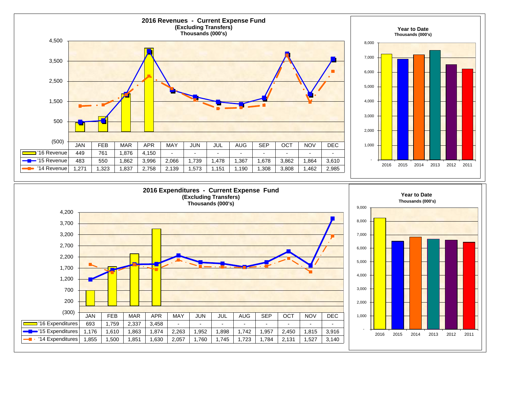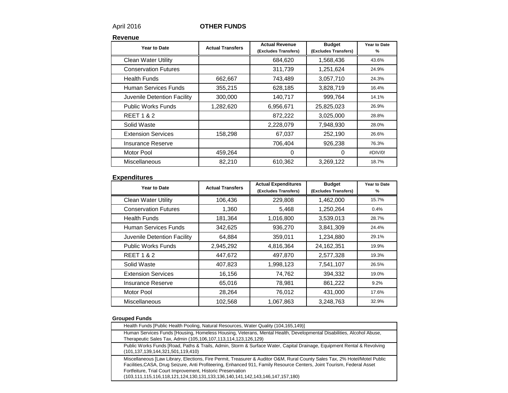#### April 2016 **OTHER FUNDS**

**Revenue**

| Year to Date                | <b>Actual Transfers</b> | <b>Actual Revenue</b><br>(Excludes Transfers) | <b>Budget</b><br>(Excludes Transfers) | Year to Date<br>% |
|-----------------------------|-------------------------|-----------------------------------------------|---------------------------------------|-------------------|
| <b>Clean Water Utility</b>  |                         | 684,620                                       | 1,568,436                             | 43.6%             |
| <b>Conservation Futures</b> |                         | 311,739                                       | 1,251,624                             | 24.9%             |
| <b>Health Funds</b>         | 662,667                 | 743,489                                       | 3,057,710                             | 24.3%             |
| Human Services Funds        | 355,215                 | 628,185                                       | 3,828,719                             | 16.4%             |
| Juvenile Detention Facility | 300,000                 | 140,717                                       | 999,764                               | 14.1%             |
| <b>Public Works Funds</b>   | 1,282,620               | 6,956,671                                     | 25,825,023                            | 26.9%             |
| <b>REET 1 &amp; 2</b>       |                         | 872,222                                       | 3,025,000                             | 28.8%             |
| Solid Waste                 |                         | 2,228,079                                     | 7,948,930                             | 28.0%             |
| <b>Extension Services</b>   | 158,298                 | 67,037                                        | 252,190                               | 26.6%             |
| <b>Insurance Reserve</b>    |                         | 706,404                                       | 926,238                               | 76.3%             |
| Motor Pool                  | 459,264                 | 0                                             | $\Omega$                              | #DIV/0!           |
| Miscellaneous               | 82,210                  | 610,362                                       | 3,269,122                             | 18.7%             |

#### **Expenditures**

| Year to Date                | <b>Actual Transfers</b> | <b>Actual Expenditures</b><br>(Excludes Transfers) | <b>Budget</b><br>(Excludes Transfers) | Year to Date<br>% |
|-----------------------------|-------------------------|----------------------------------------------------|---------------------------------------|-------------------|
| <b>Clean Water Utility</b>  | 106,436                 | 229,808                                            | 1,462,000                             | 15.7%             |
| <b>Conservation Futures</b> | 1,360                   | 5,468                                              | 1,250,264                             | 0.4%              |
| <b>Health Funds</b>         | 181,364                 | 1,016,800                                          | 3,539,013                             | 28.7%             |
| Human Services Funds        | 342,625                 | 936,270                                            | 3,841,309                             | 24.4%             |
| Juvenile Detention Facility | 64,884                  | 359,011                                            | 1,234,880                             | 29.1%             |
| <b>Public Works Funds</b>   | 2,945,292               | 4,816,364                                          | 24,162,351                            | 19.9%             |
| <b>REET 1 &amp; 2</b>       | 447,672                 | 497,870                                            | 2,577,328                             | 19.3%             |
| Solid Waste                 | 407,823                 | 1,998,123                                          | 7,541,107                             | 26.5%             |
| <b>Extension Services</b>   | 16,156                  | 74,762                                             | 394,332                               | 19.0%             |
| Insurance Reserve           | 65,016                  | 78,981                                             | 861,222                               | 9.2%              |
| Motor Pool                  | 28,264                  | 76,012                                             | 431,000                               | 17.6%             |
| <b>Miscellaneous</b>        | 102,568                 | 1,067,863                                          | 3,248,763                             | 32.9%             |

#### **Grouped Funds**

| Health Funds [Public Health Pooling, Natural Resources, Water Quality (104,165,149)]                                                                                                                                                                                                                                                                                                                                     |
|--------------------------------------------------------------------------------------------------------------------------------------------------------------------------------------------------------------------------------------------------------------------------------------------------------------------------------------------------------------------------------------------------------------------------|
| Human Services Funds [Housing, Homeless Housing, Veterans, Mental Health, Developmental Disabilities, Alcohol Abuse,<br>Therapeutic Sales Tax, Admin (105,106,107,113,114,123,126,129)                                                                                                                                                                                                                                   |
| Public Works Funds [Road, Paths & Trails, Admin, Storm & Surface Water, Capital Drainage, Equipment Rental & Revolving<br>(101, 137, 139, 144, 321, 501, 119, 410)                                                                                                                                                                                                                                                       |
| Miscellaneous [Law Library, Elections, Fire Permit, Treasurer & Auditor O&M, Rural County Sales Tax, 2% Hotel/Motel Public<br>Facilities, CASA, Drug Seizure, Anti Profiteering, Enhanced 911, Family Resource Centers, Joint Tourism, Federal Asset<br>Fortfeiture, Trial Court Improvement, Historic Preservation<br>$(103, 111, 115, 116, 118, 121, 124, 130, 131, 133, 136, 140, 141, 142, 143, 146, 147, 157, 180)$ |
|                                                                                                                                                                                                                                                                                                                                                                                                                          |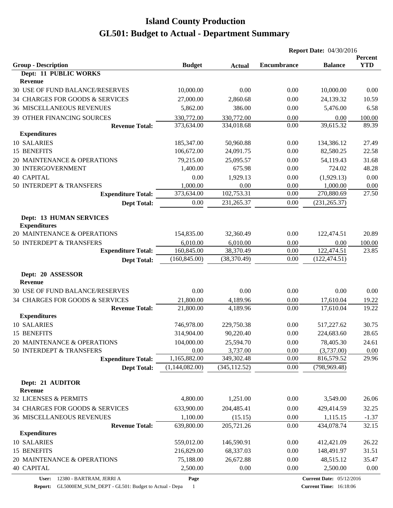| <b>YTD</b><br><b>Budget</b><br><b>Encumbrance</b><br><b>Balance</b><br><b>Actual</b><br>Dept: 11 PUBLIC WORKS<br>Revenue<br>30 USE OF FUND BALANCE/RESERVES<br>10,000.00<br>0.00<br>0.00<br>10,000.00<br>0.00<br>34 CHARGES FOR GOODS & SERVICES<br>27,000.00<br>2,860.68<br>24,139.32<br>0.00<br>10.59<br><b>36 MISCELLANEOUS REVENUES</b><br>386.00<br>5,476.00<br>5,862.00<br>0.00<br>6.58<br>39 OTHER FINANCING SOURCES<br>330,772.00<br>330,772.00<br>0.00<br>0.00<br>100.00<br>89.39<br>334,018.68<br>0.00<br>39,615.32<br><b>Revenue Total:</b><br>373,634.00<br><b>Expenditures</b><br>10 SALARIES<br>0.00<br>134,386.12<br>27.49<br>185,347.00<br>50,960.88<br>15 BENEFITS<br>106,672.00<br>0.00<br>82,580.25<br>22.58<br>24,091.75<br>20 MAINTENANCE & OPERATIONS<br>79,215.00<br>25,095.57<br>54,119.43<br>31.68<br>0.00<br>30 INTERGOVERNMENT<br>1,400.00<br>675.98<br>0.00<br>724.02<br>48.28<br>0.00<br>1,929.13<br>0.00<br>(1,929.13)<br>0.00<br>50 INTERDEPT & TRANSFERS<br>1,000.00<br>0.00<br>1,000.00<br>0.00<br>0.00<br>27.50<br>373,634.00<br>102,753.31<br>0.00<br>270,880.69<br><b>Expenditure Total:</b><br>0.00<br>231,265.37<br>0.00<br>(231, 265.37)<br><b>Dept Total:</b><br><b>Dept: 13 HUMAN SERVICES</b><br><b>Expenditures</b><br>20 MAINTENANCE & OPERATIONS<br>154,835.00<br>20.89<br>32,360.49<br>0.00<br>122,474.51<br>0.00<br>50 INTERDEPT & TRANSFERS<br>6,010.00<br>6,010.00<br>0.00<br>100.00<br>122,474.51<br>160,845.00<br>38,370.49<br><b>Expenditure Total:</b><br>0.00<br>23.85<br>(160, 845.00)<br>0.00<br>(38, 370.49)<br>(122, 474.51)<br><b>Dept Total:</b><br>Dept: 20 ASSESSOR<br><b>Revenue</b><br>30 USE OF FUND BALANCE/RESERVES<br>0.00<br>0.00<br>0.00<br>0.00<br>0.00<br>0.00<br>17,610.04<br>34 CHARGES FOR GOODS & SERVICES<br>21,800.00<br>4,189.96<br>19.22<br><b>Revenue Total:</b><br>21,800.00<br>4,189.96<br>0.00<br>17,610.04<br>19.22<br><b>Expenditures</b><br>10 SALARIES<br>746,978.00<br>229,750.38<br>0.00<br>517,227.62<br>30.75<br>314,904.00<br>90,220.40<br>0.00<br>28.65<br>224,683.60<br>104,000.00<br>25,594.70<br>78,405.30<br>0.00<br>24.61<br>50 INTERDEPT & TRANSFERS<br>3,737.00<br>0.00<br>(3,737.00)<br>0.00<br>0.00<br>1,165,882.00<br>0.00<br>29.96<br><b>Expenditure Total:</b><br>349,302.48<br>816,579.52<br>(1,144,082.00)<br>(345, 112.52)<br>0.00<br>(798, 969.48)<br><b>Dept Total:</b><br>Dept: 21 AUDITOR<br><b>Revenue</b><br>4,800.00<br>1,251.00<br>0.00<br>3,549.00<br>26.06<br>633,900.00<br>0.00<br>32.25<br>204,485.41<br>429,414.59<br><b>36 MISCELLANEOUS REVENUES</b><br>1,100.00<br>0.00<br>1,115.15<br>(15.15)<br>$-1.37$<br><b>Revenue Total:</b><br>639,800.00<br>205,721.26<br>0.00<br>434,078.74<br>32.15<br><b>Expenditures</b><br>10 SALARIES<br>559,012.00<br>0.00<br>412,421.09<br>26.22<br>146,590.91<br>15 BENEFITS<br>68,337.03<br>31.51<br>216,829.00<br>0.00<br>148,491.97<br>20 MAINTENANCE & OPERATIONS<br>75,188.00<br>26,672.88<br>0.00<br>48,515.12<br>35.47<br>2,500.00<br>0.00<br>0.00<br>2,500.00<br>0.00 |                                 |  | <b>Report Date: 04/30/2016</b> |  |         |  |
|---------------------------------------------------------------------------------------------------------------------------------------------------------------------------------------------------------------------------------------------------------------------------------------------------------------------------------------------------------------------------------------------------------------------------------------------------------------------------------------------------------------------------------------------------------------------------------------------------------------------------------------------------------------------------------------------------------------------------------------------------------------------------------------------------------------------------------------------------------------------------------------------------------------------------------------------------------------------------------------------------------------------------------------------------------------------------------------------------------------------------------------------------------------------------------------------------------------------------------------------------------------------------------------------------------------------------------------------------------------------------------------------------------------------------------------------------------------------------------------------------------------------------------------------------------------------------------------------------------------------------------------------------------------------------------------------------------------------------------------------------------------------------------------------------------------------------------------------------------------------------------------------------------------------------------------------------------------------------------------------------------------------------------------------------------------------------------------------------------------------------------------------------------------------------------------------------------------------------------------------------------------------------------------------------------------------------------------------------------------------------------------------------------------------------------------------------------------------------------------------------------------------------------------------------------------------------------------------------------------------------------------------------------------------------------------------------------------------------------------------------------------------------------------------------------------------------------------------------------------------------------------------------------------------------------------------------------------------------------------------------------------------------------------------|---------------------------------|--|--------------------------------|--|---------|--|
|                                                                                                                                                                                                                                                                                                                                                                                                                                                                                                                                                                                                                                                                                                                                                                                                                                                                                                                                                                                                                                                                                                                                                                                                                                                                                                                                                                                                                                                                                                                                                                                                                                                                                                                                                                                                                                                                                                                                                                                                                                                                                                                                                                                                                                                                                                                                                                                                                                                                                                                                                                                                                                                                                                                                                                                                                                                                                                                                                                                                                                             | <b>Group - Description</b>      |  |                                |  | Percent |  |
|                                                                                                                                                                                                                                                                                                                                                                                                                                                                                                                                                                                                                                                                                                                                                                                                                                                                                                                                                                                                                                                                                                                                                                                                                                                                                                                                                                                                                                                                                                                                                                                                                                                                                                                                                                                                                                                                                                                                                                                                                                                                                                                                                                                                                                                                                                                                                                                                                                                                                                                                                                                                                                                                                                                                                                                                                                                                                                                                                                                                                                             |                                 |  |                                |  |         |  |
|                                                                                                                                                                                                                                                                                                                                                                                                                                                                                                                                                                                                                                                                                                                                                                                                                                                                                                                                                                                                                                                                                                                                                                                                                                                                                                                                                                                                                                                                                                                                                                                                                                                                                                                                                                                                                                                                                                                                                                                                                                                                                                                                                                                                                                                                                                                                                                                                                                                                                                                                                                                                                                                                                                                                                                                                                                                                                                                                                                                                                                             |                                 |  |                                |  |         |  |
|                                                                                                                                                                                                                                                                                                                                                                                                                                                                                                                                                                                                                                                                                                                                                                                                                                                                                                                                                                                                                                                                                                                                                                                                                                                                                                                                                                                                                                                                                                                                                                                                                                                                                                                                                                                                                                                                                                                                                                                                                                                                                                                                                                                                                                                                                                                                                                                                                                                                                                                                                                                                                                                                                                                                                                                                                                                                                                                                                                                                                                             |                                 |  |                                |  |         |  |
|                                                                                                                                                                                                                                                                                                                                                                                                                                                                                                                                                                                                                                                                                                                                                                                                                                                                                                                                                                                                                                                                                                                                                                                                                                                                                                                                                                                                                                                                                                                                                                                                                                                                                                                                                                                                                                                                                                                                                                                                                                                                                                                                                                                                                                                                                                                                                                                                                                                                                                                                                                                                                                                                                                                                                                                                                                                                                                                                                                                                                                             |                                 |  |                                |  |         |  |
|                                                                                                                                                                                                                                                                                                                                                                                                                                                                                                                                                                                                                                                                                                                                                                                                                                                                                                                                                                                                                                                                                                                                                                                                                                                                                                                                                                                                                                                                                                                                                                                                                                                                                                                                                                                                                                                                                                                                                                                                                                                                                                                                                                                                                                                                                                                                                                                                                                                                                                                                                                                                                                                                                                                                                                                                                                                                                                                                                                                                                                             |                                 |  |                                |  |         |  |
|                                                                                                                                                                                                                                                                                                                                                                                                                                                                                                                                                                                                                                                                                                                                                                                                                                                                                                                                                                                                                                                                                                                                                                                                                                                                                                                                                                                                                                                                                                                                                                                                                                                                                                                                                                                                                                                                                                                                                                                                                                                                                                                                                                                                                                                                                                                                                                                                                                                                                                                                                                                                                                                                                                                                                                                                                                                                                                                                                                                                                                             |                                 |  |                                |  |         |  |
|                                                                                                                                                                                                                                                                                                                                                                                                                                                                                                                                                                                                                                                                                                                                                                                                                                                                                                                                                                                                                                                                                                                                                                                                                                                                                                                                                                                                                                                                                                                                                                                                                                                                                                                                                                                                                                                                                                                                                                                                                                                                                                                                                                                                                                                                                                                                                                                                                                                                                                                                                                                                                                                                                                                                                                                                                                                                                                                                                                                                                                             |                                 |  |                                |  |         |  |
|                                                                                                                                                                                                                                                                                                                                                                                                                                                                                                                                                                                                                                                                                                                                                                                                                                                                                                                                                                                                                                                                                                                                                                                                                                                                                                                                                                                                                                                                                                                                                                                                                                                                                                                                                                                                                                                                                                                                                                                                                                                                                                                                                                                                                                                                                                                                                                                                                                                                                                                                                                                                                                                                                                                                                                                                                                                                                                                                                                                                                                             |                                 |  |                                |  |         |  |
|                                                                                                                                                                                                                                                                                                                                                                                                                                                                                                                                                                                                                                                                                                                                                                                                                                                                                                                                                                                                                                                                                                                                                                                                                                                                                                                                                                                                                                                                                                                                                                                                                                                                                                                                                                                                                                                                                                                                                                                                                                                                                                                                                                                                                                                                                                                                                                                                                                                                                                                                                                                                                                                                                                                                                                                                                                                                                                                                                                                                                                             |                                 |  |                                |  |         |  |
|                                                                                                                                                                                                                                                                                                                                                                                                                                                                                                                                                                                                                                                                                                                                                                                                                                                                                                                                                                                                                                                                                                                                                                                                                                                                                                                                                                                                                                                                                                                                                                                                                                                                                                                                                                                                                                                                                                                                                                                                                                                                                                                                                                                                                                                                                                                                                                                                                                                                                                                                                                                                                                                                                                                                                                                                                                                                                                                                                                                                                                             |                                 |  |                                |  |         |  |
|                                                                                                                                                                                                                                                                                                                                                                                                                                                                                                                                                                                                                                                                                                                                                                                                                                                                                                                                                                                                                                                                                                                                                                                                                                                                                                                                                                                                                                                                                                                                                                                                                                                                                                                                                                                                                                                                                                                                                                                                                                                                                                                                                                                                                                                                                                                                                                                                                                                                                                                                                                                                                                                                                                                                                                                                                                                                                                                                                                                                                                             |                                 |  |                                |  |         |  |
|                                                                                                                                                                                                                                                                                                                                                                                                                                                                                                                                                                                                                                                                                                                                                                                                                                                                                                                                                                                                                                                                                                                                                                                                                                                                                                                                                                                                                                                                                                                                                                                                                                                                                                                                                                                                                                                                                                                                                                                                                                                                                                                                                                                                                                                                                                                                                                                                                                                                                                                                                                                                                                                                                                                                                                                                                                                                                                                                                                                                                                             |                                 |  |                                |  |         |  |
|                                                                                                                                                                                                                                                                                                                                                                                                                                                                                                                                                                                                                                                                                                                                                                                                                                                                                                                                                                                                                                                                                                                                                                                                                                                                                                                                                                                                                                                                                                                                                                                                                                                                                                                                                                                                                                                                                                                                                                                                                                                                                                                                                                                                                                                                                                                                                                                                                                                                                                                                                                                                                                                                                                                                                                                                                                                                                                                                                                                                                                             | <b>40 CAPITAL</b>               |  |                                |  |         |  |
|                                                                                                                                                                                                                                                                                                                                                                                                                                                                                                                                                                                                                                                                                                                                                                                                                                                                                                                                                                                                                                                                                                                                                                                                                                                                                                                                                                                                                                                                                                                                                                                                                                                                                                                                                                                                                                                                                                                                                                                                                                                                                                                                                                                                                                                                                                                                                                                                                                                                                                                                                                                                                                                                                                                                                                                                                                                                                                                                                                                                                                             |                                 |  |                                |  |         |  |
|                                                                                                                                                                                                                                                                                                                                                                                                                                                                                                                                                                                                                                                                                                                                                                                                                                                                                                                                                                                                                                                                                                                                                                                                                                                                                                                                                                                                                                                                                                                                                                                                                                                                                                                                                                                                                                                                                                                                                                                                                                                                                                                                                                                                                                                                                                                                                                                                                                                                                                                                                                                                                                                                                                                                                                                                                                                                                                                                                                                                                                             |                                 |  |                                |  |         |  |
|                                                                                                                                                                                                                                                                                                                                                                                                                                                                                                                                                                                                                                                                                                                                                                                                                                                                                                                                                                                                                                                                                                                                                                                                                                                                                                                                                                                                                                                                                                                                                                                                                                                                                                                                                                                                                                                                                                                                                                                                                                                                                                                                                                                                                                                                                                                                                                                                                                                                                                                                                                                                                                                                                                                                                                                                                                                                                                                                                                                                                                             |                                 |  |                                |  |         |  |
|                                                                                                                                                                                                                                                                                                                                                                                                                                                                                                                                                                                                                                                                                                                                                                                                                                                                                                                                                                                                                                                                                                                                                                                                                                                                                                                                                                                                                                                                                                                                                                                                                                                                                                                                                                                                                                                                                                                                                                                                                                                                                                                                                                                                                                                                                                                                                                                                                                                                                                                                                                                                                                                                                                                                                                                                                                                                                                                                                                                                                                             |                                 |  |                                |  |         |  |
|                                                                                                                                                                                                                                                                                                                                                                                                                                                                                                                                                                                                                                                                                                                                                                                                                                                                                                                                                                                                                                                                                                                                                                                                                                                                                                                                                                                                                                                                                                                                                                                                                                                                                                                                                                                                                                                                                                                                                                                                                                                                                                                                                                                                                                                                                                                                                                                                                                                                                                                                                                                                                                                                                                                                                                                                                                                                                                                                                                                                                                             |                                 |  |                                |  |         |  |
|                                                                                                                                                                                                                                                                                                                                                                                                                                                                                                                                                                                                                                                                                                                                                                                                                                                                                                                                                                                                                                                                                                                                                                                                                                                                                                                                                                                                                                                                                                                                                                                                                                                                                                                                                                                                                                                                                                                                                                                                                                                                                                                                                                                                                                                                                                                                                                                                                                                                                                                                                                                                                                                                                                                                                                                                                                                                                                                                                                                                                                             |                                 |  |                                |  |         |  |
|                                                                                                                                                                                                                                                                                                                                                                                                                                                                                                                                                                                                                                                                                                                                                                                                                                                                                                                                                                                                                                                                                                                                                                                                                                                                                                                                                                                                                                                                                                                                                                                                                                                                                                                                                                                                                                                                                                                                                                                                                                                                                                                                                                                                                                                                                                                                                                                                                                                                                                                                                                                                                                                                                                                                                                                                                                                                                                                                                                                                                                             |                                 |  |                                |  |         |  |
|                                                                                                                                                                                                                                                                                                                                                                                                                                                                                                                                                                                                                                                                                                                                                                                                                                                                                                                                                                                                                                                                                                                                                                                                                                                                                                                                                                                                                                                                                                                                                                                                                                                                                                                                                                                                                                                                                                                                                                                                                                                                                                                                                                                                                                                                                                                                                                                                                                                                                                                                                                                                                                                                                                                                                                                                                                                                                                                                                                                                                                             |                                 |  |                                |  |         |  |
|                                                                                                                                                                                                                                                                                                                                                                                                                                                                                                                                                                                                                                                                                                                                                                                                                                                                                                                                                                                                                                                                                                                                                                                                                                                                                                                                                                                                                                                                                                                                                                                                                                                                                                                                                                                                                                                                                                                                                                                                                                                                                                                                                                                                                                                                                                                                                                                                                                                                                                                                                                                                                                                                                                                                                                                                                                                                                                                                                                                                                                             |                                 |  |                                |  |         |  |
|                                                                                                                                                                                                                                                                                                                                                                                                                                                                                                                                                                                                                                                                                                                                                                                                                                                                                                                                                                                                                                                                                                                                                                                                                                                                                                                                                                                                                                                                                                                                                                                                                                                                                                                                                                                                                                                                                                                                                                                                                                                                                                                                                                                                                                                                                                                                                                                                                                                                                                                                                                                                                                                                                                                                                                                                                                                                                                                                                                                                                                             |                                 |  |                                |  |         |  |
|                                                                                                                                                                                                                                                                                                                                                                                                                                                                                                                                                                                                                                                                                                                                                                                                                                                                                                                                                                                                                                                                                                                                                                                                                                                                                                                                                                                                                                                                                                                                                                                                                                                                                                                                                                                                                                                                                                                                                                                                                                                                                                                                                                                                                                                                                                                                                                                                                                                                                                                                                                                                                                                                                                                                                                                                                                                                                                                                                                                                                                             |                                 |  |                                |  |         |  |
|                                                                                                                                                                                                                                                                                                                                                                                                                                                                                                                                                                                                                                                                                                                                                                                                                                                                                                                                                                                                                                                                                                                                                                                                                                                                                                                                                                                                                                                                                                                                                                                                                                                                                                                                                                                                                                                                                                                                                                                                                                                                                                                                                                                                                                                                                                                                                                                                                                                                                                                                                                                                                                                                                                                                                                                                                                                                                                                                                                                                                                             |                                 |  |                                |  |         |  |
|                                                                                                                                                                                                                                                                                                                                                                                                                                                                                                                                                                                                                                                                                                                                                                                                                                                                                                                                                                                                                                                                                                                                                                                                                                                                                                                                                                                                                                                                                                                                                                                                                                                                                                                                                                                                                                                                                                                                                                                                                                                                                                                                                                                                                                                                                                                                                                                                                                                                                                                                                                                                                                                                                                                                                                                                                                                                                                                                                                                                                                             |                                 |  |                                |  |         |  |
|                                                                                                                                                                                                                                                                                                                                                                                                                                                                                                                                                                                                                                                                                                                                                                                                                                                                                                                                                                                                                                                                                                                                                                                                                                                                                                                                                                                                                                                                                                                                                                                                                                                                                                                                                                                                                                                                                                                                                                                                                                                                                                                                                                                                                                                                                                                                                                                                                                                                                                                                                                                                                                                                                                                                                                                                                                                                                                                                                                                                                                             |                                 |  |                                |  |         |  |
|                                                                                                                                                                                                                                                                                                                                                                                                                                                                                                                                                                                                                                                                                                                                                                                                                                                                                                                                                                                                                                                                                                                                                                                                                                                                                                                                                                                                                                                                                                                                                                                                                                                                                                                                                                                                                                                                                                                                                                                                                                                                                                                                                                                                                                                                                                                                                                                                                                                                                                                                                                                                                                                                                                                                                                                                                                                                                                                                                                                                                                             | 15 BENEFITS                     |  |                                |  |         |  |
|                                                                                                                                                                                                                                                                                                                                                                                                                                                                                                                                                                                                                                                                                                                                                                                                                                                                                                                                                                                                                                                                                                                                                                                                                                                                                                                                                                                                                                                                                                                                                                                                                                                                                                                                                                                                                                                                                                                                                                                                                                                                                                                                                                                                                                                                                                                                                                                                                                                                                                                                                                                                                                                                                                                                                                                                                                                                                                                                                                                                                                             | 20 MAINTENANCE & OPERATIONS     |  |                                |  |         |  |
|                                                                                                                                                                                                                                                                                                                                                                                                                                                                                                                                                                                                                                                                                                                                                                                                                                                                                                                                                                                                                                                                                                                                                                                                                                                                                                                                                                                                                                                                                                                                                                                                                                                                                                                                                                                                                                                                                                                                                                                                                                                                                                                                                                                                                                                                                                                                                                                                                                                                                                                                                                                                                                                                                                                                                                                                                                                                                                                                                                                                                                             |                                 |  |                                |  |         |  |
|                                                                                                                                                                                                                                                                                                                                                                                                                                                                                                                                                                                                                                                                                                                                                                                                                                                                                                                                                                                                                                                                                                                                                                                                                                                                                                                                                                                                                                                                                                                                                                                                                                                                                                                                                                                                                                                                                                                                                                                                                                                                                                                                                                                                                                                                                                                                                                                                                                                                                                                                                                                                                                                                                                                                                                                                                                                                                                                                                                                                                                             |                                 |  |                                |  |         |  |
|                                                                                                                                                                                                                                                                                                                                                                                                                                                                                                                                                                                                                                                                                                                                                                                                                                                                                                                                                                                                                                                                                                                                                                                                                                                                                                                                                                                                                                                                                                                                                                                                                                                                                                                                                                                                                                                                                                                                                                                                                                                                                                                                                                                                                                                                                                                                                                                                                                                                                                                                                                                                                                                                                                                                                                                                                                                                                                                                                                                                                                             |                                 |  |                                |  |         |  |
|                                                                                                                                                                                                                                                                                                                                                                                                                                                                                                                                                                                                                                                                                                                                                                                                                                                                                                                                                                                                                                                                                                                                                                                                                                                                                                                                                                                                                                                                                                                                                                                                                                                                                                                                                                                                                                                                                                                                                                                                                                                                                                                                                                                                                                                                                                                                                                                                                                                                                                                                                                                                                                                                                                                                                                                                                                                                                                                                                                                                                                             |                                 |  |                                |  |         |  |
|                                                                                                                                                                                                                                                                                                                                                                                                                                                                                                                                                                                                                                                                                                                                                                                                                                                                                                                                                                                                                                                                                                                                                                                                                                                                                                                                                                                                                                                                                                                                                                                                                                                                                                                                                                                                                                                                                                                                                                                                                                                                                                                                                                                                                                                                                                                                                                                                                                                                                                                                                                                                                                                                                                                                                                                                                                                                                                                                                                                                                                             | 32 LICENSES & PERMITS           |  |                                |  |         |  |
|                                                                                                                                                                                                                                                                                                                                                                                                                                                                                                                                                                                                                                                                                                                                                                                                                                                                                                                                                                                                                                                                                                                                                                                                                                                                                                                                                                                                                                                                                                                                                                                                                                                                                                                                                                                                                                                                                                                                                                                                                                                                                                                                                                                                                                                                                                                                                                                                                                                                                                                                                                                                                                                                                                                                                                                                                                                                                                                                                                                                                                             | 34 CHARGES FOR GOODS & SERVICES |  |                                |  |         |  |
|                                                                                                                                                                                                                                                                                                                                                                                                                                                                                                                                                                                                                                                                                                                                                                                                                                                                                                                                                                                                                                                                                                                                                                                                                                                                                                                                                                                                                                                                                                                                                                                                                                                                                                                                                                                                                                                                                                                                                                                                                                                                                                                                                                                                                                                                                                                                                                                                                                                                                                                                                                                                                                                                                                                                                                                                                                                                                                                                                                                                                                             |                                 |  |                                |  |         |  |
|                                                                                                                                                                                                                                                                                                                                                                                                                                                                                                                                                                                                                                                                                                                                                                                                                                                                                                                                                                                                                                                                                                                                                                                                                                                                                                                                                                                                                                                                                                                                                                                                                                                                                                                                                                                                                                                                                                                                                                                                                                                                                                                                                                                                                                                                                                                                                                                                                                                                                                                                                                                                                                                                                                                                                                                                                                                                                                                                                                                                                                             |                                 |  |                                |  |         |  |
|                                                                                                                                                                                                                                                                                                                                                                                                                                                                                                                                                                                                                                                                                                                                                                                                                                                                                                                                                                                                                                                                                                                                                                                                                                                                                                                                                                                                                                                                                                                                                                                                                                                                                                                                                                                                                                                                                                                                                                                                                                                                                                                                                                                                                                                                                                                                                                                                                                                                                                                                                                                                                                                                                                                                                                                                                                                                                                                                                                                                                                             |                                 |  |                                |  |         |  |
|                                                                                                                                                                                                                                                                                                                                                                                                                                                                                                                                                                                                                                                                                                                                                                                                                                                                                                                                                                                                                                                                                                                                                                                                                                                                                                                                                                                                                                                                                                                                                                                                                                                                                                                                                                                                                                                                                                                                                                                                                                                                                                                                                                                                                                                                                                                                                                                                                                                                                                                                                                                                                                                                                                                                                                                                                                                                                                                                                                                                                                             |                                 |  |                                |  |         |  |
|                                                                                                                                                                                                                                                                                                                                                                                                                                                                                                                                                                                                                                                                                                                                                                                                                                                                                                                                                                                                                                                                                                                                                                                                                                                                                                                                                                                                                                                                                                                                                                                                                                                                                                                                                                                                                                                                                                                                                                                                                                                                                                                                                                                                                                                                                                                                                                                                                                                                                                                                                                                                                                                                                                                                                                                                                                                                                                                                                                                                                                             |                                 |  |                                |  |         |  |
|                                                                                                                                                                                                                                                                                                                                                                                                                                                                                                                                                                                                                                                                                                                                                                                                                                                                                                                                                                                                                                                                                                                                                                                                                                                                                                                                                                                                                                                                                                                                                                                                                                                                                                                                                                                                                                                                                                                                                                                                                                                                                                                                                                                                                                                                                                                                                                                                                                                                                                                                                                                                                                                                                                                                                                                                                                                                                                                                                                                                                                             |                                 |  |                                |  |         |  |
|                                                                                                                                                                                                                                                                                                                                                                                                                                                                                                                                                                                                                                                                                                                                                                                                                                                                                                                                                                                                                                                                                                                                                                                                                                                                                                                                                                                                                                                                                                                                                                                                                                                                                                                                                                                                                                                                                                                                                                                                                                                                                                                                                                                                                                                                                                                                                                                                                                                                                                                                                                                                                                                                                                                                                                                                                                                                                                                                                                                                                                             | <b>40 CAPITAL</b>               |  |                                |  |         |  |

**User:** 12380 - BARTRAM, JERRI A

**Page**

**Current Date:** 05/12/2016 **Current Time:** 16:18:06

**Report:** GL5000EM\_SUM\_DEPT - GL501: Budget to Actual - Depa 1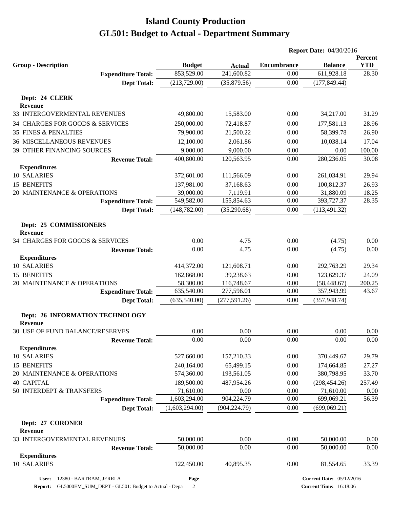|                                                 |                           |                                          | <b>Report Date: 04/30/2016</b> |                                 |                              |
|-------------------------------------------------|---------------------------|------------------------------------------|--------------------------------|---------------------------------|------------------------------|
| <b>Group - Description</b>                      | <b>Budget</b>             |                                          | <b>Encumbrance</b>             | <b>Balance</b>                  | <b>Percent</b><br><b>YTD</b> |
| <b>Expenditure Total:</b>                       | 853,529.00                | <b>Actual</b><br>$\overline{241,600.82}$ | 0.00                           | 611,928.18                      | 28.30                        |
| <b>Dept Total:</b>                              | (213, 729.00)             | (35,879.56)                              | $0.00\,$                       | (177, 849.44)                   |                              |
|                                                 |                           |                                          |                                |                                 |                              |
| Dept: 24 CLERK<br><b>Revenue</b>                |                           |                                          |                                |                                 |                              |
| 33 INTERGOVERMENTAL REVENUES                    | 49,800.00                 | 15,583.00                                | 0.00                           | 34,217.00                       | 31.29                        |
| 34 CHARGES FOR GOODS & SERVICES                 | 250,000.00                | 72,418.87                                | 0.00                           | 177,581.13                      | 28.96                        |
| <b>35 FINES &amp; PENALTIES</b>                 | 79,900.00                 | 21,500.22                                | 0.00                           | 58,399.78                       | 26.90                        |
| <b>36 MISCELLANEOUS REVENUES</b>                | 12,100.00                 | 2,061.86                                 | 0.00                           | 10,038.14                       | 17.04                        |
| 39 OTHER FINANCING SOURCES                      | 9,000.00                  | 9,000.00                                 | 0.00                           | 0.00                            | 100.00                       |
| <b>Revenue Total:</b>                           | 400,800.00                | 120,563.95                               | 0.00                           | 280,236.05                      | 30.08                        |
| <b>Expenditures</b>                             |                           |                                          |                                |                                 |                              |
| 10 SALARIES                                     | 372,601.00                | 111,566.09                               | 0.00                           | 261,034.91                      | 29.94                        |
| 15 BENEFITS                                     | 137,981.00                | 37,168.63                                | 0.00                           | 100,812.37                      | 26.93                        |
| 20 MAINTENANCE & OPERATIONS                     | 39,000.00                 | 7,119.91                                 | 0.00                           | 31,880.09                       | 18.25                        |
| <b>Expenditure Total:</b>                       | 549,582.00                | 155,854.63                               | 0.00                           | 393,727.37                      | 28.35                        |
| <b>Dept Total:</b>                              | (148, 782.00)             | (35,290.68)                              | 0.00                           | (113, 491.32)                   |                              |
| Dept: 25 COMMISSIONERS                          |                           |                                          |                                |                                 |                              |
| <b>Revenue</b>                                  |                           |                                          |                                |                                 |                              |
| 34 CHARGES FOR GOODS & SERVICES                 | 0.00                      | 4.75                                     | 0.00                           | (4.75)                          | 0.00                         |
| <b>Revenue Total:</b>                           | 0.00                      | 4.75                                     | 0.00                           | (4.75)                          | 0.00                         |
| <b>Expenditures</b>                             |                           |                                          |                                |                                 |                              |
| 10 SALARIES                                     | 414,372.00                | 121,608.71                               | 0.00                           | 292,763.29                      | 29.34                        |
| 15 BENEFITS                                     | 162,868.00                | 39,238.63                                | 0.00                           | 123,629.37                      | 24.09                        |
| 20 MAINTENANCE & OPERATIONS                     | 58,300.00                 | 116,748.67                               | 0.00                           | (58, 448.67)                    | 200.25                       |
| <b>Expenditure Total:</b>                       | 635,540.00                | 277,596.01                               | 0.00                           | 357,943.99                      | 43.67                        |
| <b>Dept Total:</b>                              | (635,540.00)              | (277, 591.26)                            | 0.00                           | (357, 948.74)                   |                              |
| Dept: 26 INFORMATION TECHNOLOGY                 |                           |                                          |                                |                                 |                              |
| <b>Revenue</b>                                  |                           |                                          |                                |                                 |                              |
| 30 USE OF FUND BALANCE/RESERVES                 | 0.00                      | 0.00                                     | 0.00                           | 0.00                            | 0.00                         |
| <b>Revenue Total:</b>                           | 0.00                      | 0.00                                     | 0.00                           | 0.00                            | 0.00                         |
| <b>Expenditures</b>                             |                           |                                          |                                |                                 |                              |
| 10 SALARIES                                     | 527,660.00                | 157,210.33                               | 0.00                           | 370,449.67                      | 29.79                        |
| 15 BENEFITS                                     | 240,164.00                | 65,499.15                                | 0.00                           | 174,664.85                      | 27.27                        |
| 20 MAINTENANCE & OPERATIONS                     | 574,360.00                | 193,561.05                               | 0.00                           | 380,798.95                      | 33.70                        |
| <b>40 CAPITAL</b>                               | 189,500.00                | 487,954.26                               | 0.00                           | (298, 454.26)                   | 257.49                       |
| 50 INTERDEPT & TRANSFERS                        | 71,610.00<br>1,603,294.00 | 0.00<br>904,224.79                       | 0.00<br>0.00                   | 71,610.00<br>699,069.21         | 0.00<br>56.39                |
| <b>Expenditure Total:</b><br><b>Dept Total:</b> | (1,603,294.00)            | (904, 224.79)                            | 0.00                           | (699,069.21)                    |                              |
|                                                 |                           |                                          |                                |                                 |                              |
| Dept: 27 CORONER<br><b>Revenue</b>              |                           |                                          |                                |                                 |                              |
| 33 INTERGOVERMENTAL REVENUES                    | 50,000.00                 | 0.00                                     | 0.00                           | 50,000.00                       | 0.00                         |
| <b>Revenue Total:</b>                           | 50,000.00                 | 0.00                                     | 0.00                           | 50,000.00                       | 0.00                         |
| <b>Expenditures</b>                             |                           |                                          |                                |                                 |                              |
| 10 SALARIES                                     | 122,450.00                | 40,895.35                                | 0.00                           | 81,554.65                       | 33.39                        |
| 12380 - BARTRAM, JERRI A<br>User:               | Page                      |                                          |                                | <b>Current Date: 05/12/2016</b> |                              |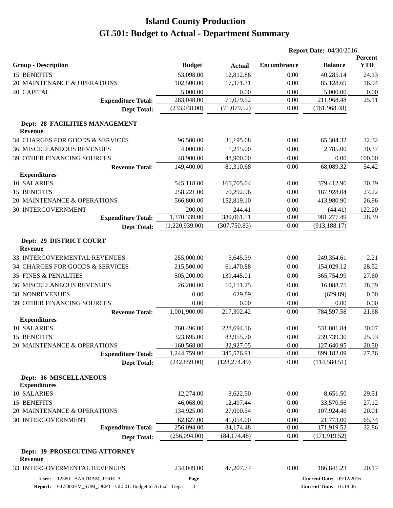|                                                  |                |               | <b>Report Date: 04/30/2016</b> |                                 |                       |
|--------------------------------------------------|----------------|---------------|--------------------------------|---------------------------------|-----------------------|
| <b>Group - Description</b>                       | <b>Budget</b>  | <b>Actual</b> | <b>Encumbrance</b>             | <b>Balance</b>                  | Percent<br><b>YTD</b> |
| 15 BENEFITS                                      | 53,098.00      | 12,812.86     | 0.00                           | 40,285.14                       | 24.13                 |
| 20 MAINTENANCE & OPERATIONS                      | 102,500.00     | 17,371.31     | 0.00                           | 85,128.69                       | 16.94                 |
| <b>40 CAPITAL</b>                                | 5,000.00       | 0.00          | 0.00                           | 5,000.00                        | 0.00                  |
| <b>Expenditure Total:</b>                        | 283,048.00     | 71,079.52     | 0.00                           | 211,968.48                      | 25.11                 |
| <b>Dept Total:</b>                               | (233,048.00)   | (71,079.52)   | 0.00                           | (161, 968.48)                   |                       |
| Dept: 28 FACILITIES MANAGEMENT<br><b>Revenue</b> |                |               |                                |                                 |                       |
| 34 CHARGES FOR GOODS & SERVICES                  | 96,500.00      | 31,195.68     | 0.00                           | 65,304.32                       | 32.32                 |
| <b>36 MISCELLANEOUS REVENUES</b>                 | 4,000.00       | 1,215.00      | 0.00                           | 2,785.00                        | 30.37                 |
| 39 OTHER FINANCING SOURCES                       | 48,900.00      | 48,900.00     | 0.00                           | 0.00                            | 100.00                |
| <b>Revenue Total:</b>                            | 149,400.00     | 81,310.68     | 0.00                           | 68,089.32                       | 54.42                 |
| <b>Expenditures</b>                              |                |               |                                |                                 |                       |
| 10 SALARIES                                      | 545,118.00     | 165,705.04    | 0.00                           | 379,412.96                      | 30.39                 |
| 15 BENEFITS                                      | 258,221.00     | 70,292.96     | 0.00                           | 187,928.04                      | 27.22                 |
| 20 MAINTENANCE & OPERATIONS                      | 566,800.00     | 152,819.10    | 0.00                           | 413,980.90                      | 26.96                 |
| 30 INTERGOVERNMENT                               | 200.00         | 244.41        | 0.00                           | (44.41)                         | 122.20                |
| <b>Expenditure Total:</b>                        | 1,370,339.00   | 389,061.51    | 0.00                           | 981,277.49                      | 28.39                 |
| <b>Dept Total:</b>                               | (1,220,939.00) | (307,750.83)  | 0.00                           | (913, 188.17)                   |                       |
| Dept: 29 DISTRICT COURT<br><b>Revenue</b>        |                |               |                                |                                 |                       |
| 33 INTERGOVERMENTAL REVENUES                     | 255,000.00     | 5,645.39      | 0.00                           | 249,354.61                      | 2.21                  |
| 34 CHARGES FOR GOODS & SERVICES                  | 215,500.00     | 61,470.88     | 0.00                           | 154,029.12                      | 28.52                 |
| <b>35 FINES &amp; PENALTIES</b>                  | 505,200.00     | 139,445.01    | 0.00                           | 365,754.99                      | 27.60                 |
| <b>36 MISCELLANEOUS REVENUES</b>                 | 26,200.00      | 10,111.25     | 0.00                           | 16,088.75                       | 38.59                 |
| <b>38 NONREVENUES</b>                            | 0.00           | 629.89        | 0.00                           | (629.89)                        | 0.00                  |
| <b>39 OTHER FINANCING SOURCES</b>                | 0.00           | 0.00          | 0.00                           | 0.00                            | 0.00                  |
| <b>Revenue Total:</b>                            | 1,001,900.00   | 217,302.42    | 0.00                           | 784,597.58                      | 21.68                 |
| <b>Expenditures</b>                              |                |               |                                |                                 |                       |
| 10 SALARIES                                      | 760,496.00     | 228,694.16    | 0.00                           | 531,801.84                      | 30.07                 |
| 15 BENEFITS                                      | 323,695.00     | 83,955.70     | 0.00                           | 239,739.30                      | 25.93                 |
| 20 MAINTENANCE & OPERATIONS                      | 160,568.00     | 32,927.05     | 0.00                           | 127,640.95                      | 20.50                 |
| <b>Expenditure Total:</b>                        | 1,244,759.00   | 345,576.91    | 0.00                           | 899,182.09                      | 27.76                 |
| <b>Dept Total:</b>                               | (242, 859.00)  | (128, 274.49) | 0.00                           | (114, 584.51)                   |                       |
| Dept: 36 MISCELLANEOUS<br><b>Expenditures</b>    |                |               |                                |                                 |                       |
| 10 SALARIES                                      | 12,274.00      | 3,622.50      | 0.00                           | 8,651.50                        | 29.51                 |
| 15 BENEFITS                                      | 46,068.00      | 12,497.44     | 0.00                           | 33,570.56                       | 27.12                 |
| 20 MAINTENANCE & OPERATIONS                      | 134,925.00     | 27,000.54     | 0.00                           | 107,924.46                      | 20.01                 |
| 30 INTERGOVERNMENT                               | 62,827.00      | 41,054.00     | 0.00                           | 21,773.00                       | 65.34                 |
| <b>Expenditure Total:</b>                        | 256,094.00     | 84,174.48     | 0.00                           | 171,919.52                      | 32.86                 |
| <b>Dept Total:</b>                               | (256,094.00)   | (84, 174.48)  | 0.00                           | (171, 919.52)                   |                       |
| Dept: 39 PROSECUTING ATTORNEY<br><b>Revenue</b>  |                |               |                                |                                 |                       |
| 33 INTERGOVERMENTAL REVENUES                     | 234,049.00     | 47,207.77     | 0.00                           | 186,841.23                      | 20.17                 |
| 12380 - BARTRAM, JERRI A<br>User:                | Page           |               |                                | <b>Current Date: 05/12/2016</b> |                       |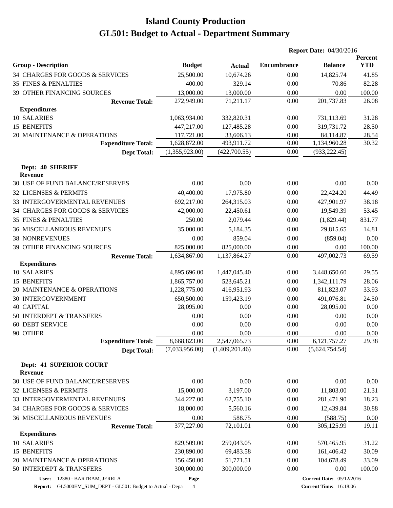|                                                  |                |                | <b>Report Date: 04/30/2016</b> |                |                       |  |
|--------------------------------------------------|----------------|----------------|--------------------------------|----------------|-----------------------|--|
| <b>Group - Description</b>                       | <b>Budget</b>  | <b>Actual</b>  | <b>Encumbrance</b>             | <b>Balance</b> | Percent<br><b>YTD</b> |  |
| 34 CHARGES FOR GOODS & SERVICES                  | 25,500.00      | 10,674.26      | 0.00                           | 14,825.74      | 41.85                 |  |
| <b>35 FINES &amp; PENALTIES</b>                  | 400.00         | 329.14         | 0.00                           | 70.86          | 82.28                 |  |
| <b>39 OTHER FINANCING SOURCES</b>                | 13,000.00      | 13,000.00      | 0.00                           | 0.00           | 100.00                |  |
| <b>Revenue Total:</b>                            | 272,949.00     | 71,211.17      | 0.00                           | 201,737.83     | 26.08                 |  |
| <b>Expenditures</b>                              |                |                |                                |                |                       |  |
| 10 SALARIES                                      | 1,063,934.00   | 332,820.31     | 0.00                           | 731,113.69     | 31.28                 |  |
| <b>15 BENEFITS</b>                               | 447,217.00     | 127,485.28     | 0.00                           | 319,731.72     | 28.50                 |  |
| 20 MAINTENANCE & OPERATIONS                      | 117,721.00     | 33,606.13      | 0.00                           | 84,114.87      | 28.54                 |  |
| <b>Expenditure Total:</b>                        | 1,628,872.00   | 493,911.72     | 0.00                           | 1,134,960.28   | 30.32                 |  |
| <b>Dept Total:</b>                               | (1,355,923.00) | (422,700.55)   | 0.00                           | (933, 222.45)  |                       |  |
| Dept: 40 SHERIFF<br><b>Revenue</b>               |                |                |                                |                |                       |  |
| 30 USE OF FUND BALANCE/RESERVES                  | 0.00           | 0.00           | 0.00                           | 0.00           | 0.00                  |  |
| 32 LICENSES & PERMITS                            | 40,400.00      | 17,975.80      | 0.00                           | 22,424.20      | 44.49                 |  |
| 33 INTERGOVERMENTAL REVENUES                     | 692,217.00     | 264,315.03     | 0.00                           | 427,901.97     | 38.18                 |  |
| 34 CHARGES FOR GOODS & SERVICES                  | 42,000.00      | 22,450.61      | 0.00                           | 19,549.39      | 53.45                 |  |
| <b>35 FINES &amp; PENALTIES</b>                  | 250.00         | 2,079.44       | 0.00                           | (1,829.44)     | 831.77                |  |
| <b>36 MISCELLANEOUS REVENUES</b>                 | 35,000.00      | 5,184.35       | 0.00                           | 29,815.65      | 14.81                 |  |
| <b>38 NONREVENUES</b>                            | 0.00           | 859.04         | 0.00                           | (859.04)       | 0.00                  |  |
| 39 OTHER FINANCING SOURCES                       | 825,000.00     | 825,000.00     | 0.00                           | 0.00           | 100.00                |  |
| <b>Revenue Total:</b>                            | 1,634,867.00   | 1,137,864.27   | 0.00                           | 497,002.73     | 69.59                 |  |
| <b>Expenditures</b>                              |                |                |                                |                |                       |  |
| 10 SALARIES                                      | 4,895,696.00   | 1,447,045.40   | 0.00                           | 3,448,650.60   | 29.55                 |  |
| 15 BENEFITS                                      | 1,865,757.00   | 523,645.21     | 0.00                           | 1,342,111.79   | 28.06                 |  |
| 20 MAINTENANCE & OPERATIONS                      | 1,228,775.00   | 416,951.93     | 0.00                           | 811,823.07     | 33.93                 |  |
| <b>30 INTERGOVERNMENT</b>                        | 650,500.00     | 159,423.19     | 0.00                           | 491,076.81     | 24.50                 |  |
| <b>40 CAPITAL</b>                                | 28,095.00      | 0.00           | 0.00                           | 28,095.00      | 0.00                  |  |
| 50 INTERDEPT & TRANSFERS                         | 0.00           | 0.00           | 0.00                           | 0.00           | 0.00                  |  |
| <b>60 DEBT SERVICE</b>                           | 0.00           | 0.00           | 0.00                           | 0.00           | 0.00                  |  |
| 90 OTHER                                         | 0.00           | 0.00           | 0.00                           | 0.00           | 0.00                  |  |
| <b>Expenditure Total:</b>                        | 8,668,823.00   | 2,547,065.73   | 0.00                           | 6,121,757.27   | 29.38                 |  |
| <b>Dept Total:</b>                               | (7,033,956.00) | (1,409,201.46) | 0.00                           | (5,624,754.54) |                       |  |
| <b>Dept: 41 SUPERIOR COURT</b><br><b>Revenue</b> |                |                |                                |                |                       |  |
| 30 USE OF FUND BALANCE/RESERVES                  | 0.00           | 0.00           | 0.00                           | 0.00           | 0.00                  |  |
| 32 LICENSES & PERMITS                            | 15,000.00      | 3,197.00       | 0.00                           | 11,803.00      | 21.31                 |  |
| 33 INTERGOVERMENTAL REVENUES                     | 344,227.00     | 62,755.10      | 0.00                           | 281,471.90     | 18.23                 |  |
|                                                  |                |                |                                |                |                       |  |
| 34 CHARGES FOR GOODS & SERVICES                  | 18,000.00      | 5,560.16       | 0.00                           | 12,439.84      | 30.88                 |  |
| <b>36 MISCELLANEOUS REVENUES</b>                 | 0.00           | 588.75         | 0.00                           | (588.75)       | 0.00<br>19.11         |  |
| <b>Revenue Total:</b><br><b>Expenditures</b>     | 377,227.00     | 72,101.01      | 0.00                           | 305,125.99     |                       |  |
| <b>10 SALARIES</b>                               | 829,509.00     | 259,043.05     | 0.00                           | 570,465.95     | 31.22                 |  |
| 15 BENEFITS                                      | 230,890.00     | 69,483.58      | 0.00                           | 161,406.42     | 30.09                 |  |
| 20 MAINTENANCE & OPERATIONS                      | 156,450.00     | 51,771.51      | 0.00                           | 104,678.49     | 33.09                 |  |
| 50 INTERDEPT & TRANSFERS                         | 300,000.00     | 300,000.00     | 0.00                           | 0.00           | 100.00                |  |
|                                                  |                |                |                                |                |                       |  |

**User:** 12380 - BARTRAM, JERRI A

**Page**

**Report:** GL5000EM\_SUM\_DEPT - GL501: Budget to Actual - Depa 4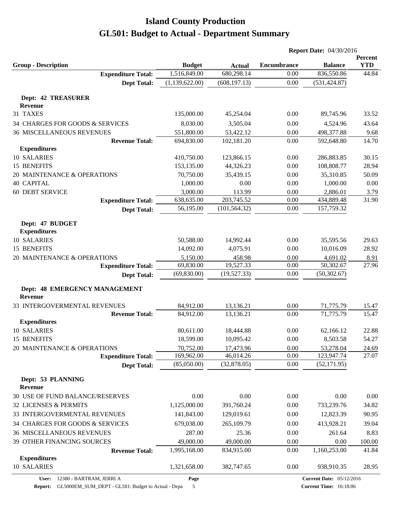|                                                       |                        |                        | <b>Report Date: 04/30/2016</b> |                        |                |
|-------------------------------------------------------|------------------------|------------------------|--------------------------------|------------------------|----------------|
|                                                       |                        |                        |                                |                        | Percent        |
| <b>Group - Description</b>                            | <b>Budget</b>          | <b>Actual</b>          | <b>Encumbrance</b>             | <b>Balance</b>         | <b>YTD</b>     |
| <b>Expenditure Total:</b>                             | 1,516,849.00           | 680,298.14             | 0.00                           | 836,550.86             | 44.84          |
| <b>Dept Total:</b>                                    | (1,139,622.00)         | (608, 197.13)          | 0.00                           | (531, 424.87)          |                |
| Dept: 42 TREASURER                                    |                        |                        |                                |                        |                |
| <b>Revenue</b>                                        |                        |                        |                                |                        |                |
| 31 TAXES                                              | 135,000.00             | 45,254.04              | 0.00                           | 89,745.96              | 33.52          |
| 34 CHARGES FOR GOODS & SERVICES                       | 8,030.00               | 3,505.04               | 0.00                           | 4,524.96               | 43.64          |
| <b>36 MISCELLANEOUS REVENUES</b>                      | 551,800.00             | 53,422.12              | 0.00                           | 498,377.88             | 9.68           |
| <b>Revenue Total:</b>                                 | 694,830.00             | 102,181.20             | 0.00                           | 592,648.80             | 14.70          |
| <b>Expenditures</b>                                   |                        |                        |                                |                        |                |
| 10 SALARIES                                           | 410,750.00             | 123,866.15             | 0.00                           | 286,883.85             | 30.15          |
| 15 BENEFITS                                           | 153,135.00             | 44,326.23              | 0.00                           | 108,808.77             | 28.94          |
| 20 MAINTENANCE & OPERATIONS                           | 70,750.00              | 35,439.15              | 0.00                           | 35,310.85              | 50.09          |
| <b>40 CAPITAL</b>                                     | 1,000.00               | 0.00                   | 0.00                           | 1,000.00               | 0.00           |
| <b>60 DEBT SERVICE</b>                                | 3,000.00               | 113.99                 | 0.00                           | 2,886.01               | 3.79           |
| <b>Expenditure Total:</b>                             | 638,635.00             | 203,745.52             | 0.00                           | 434,889.48             | 31.90          |
| <b>Dept Total:</b>                                    | 56,195.00              | (101, 564.32)          | 0.00                           | 157,759.32             |                |
| Dept: 47 BUDGET                                       |                        |                        |                                |                        |                |
| <b>Expenditures</b>                                   |                        |                        |                                |                        |                |
| 10 SALARIES                                           | 50,588.00              | 14,992.44              | 0.00                           | 35,595.56              | 29.63          |
| 15 BENEFITS                                           | 14,092.00              | 4,075.91               | 0.00                           | 10,016.09              | 28.92          |
| 20 MAINTENANCE & OPERATIONS                           | 5,150.00               | 458.98                 | 0.00                           | 4,691.02               | 8.91           |
| <b>Expenditure Total:</b>                             | 69,830.00              | 19,527.33              | 0.00                           | 50,302.67              | 27.96          |
| <b>Dept Total:</b>                                    | (69, 830.00)           | (19,527.33)            | 0.00                           | (50, 302.67)           |                |
|                                                       |                        |                        |                                |                        |                |
| Dept: 48 EMERGENCY MANAGEMENT                         |                        |                        |                                |                        |                |
| <b>Revenue</b>                                        |                        |                        |                                |                        |                |
| 33 INTERGOVERMENTAL REVENUES<br><b>Revenue Total:</b> | 84,912.00<br>84,912.00 | 13,136.21<br>13,136.21 | 0.00<br>0.00                   | 71,775.79<br>71,775.79 | 15.47<br>15.47 |
| <b>Expenditures</b>                                   |                        |                        |                                |                        |                |
| 10 SALARIES                                           | 80,611.00              | 18,444.88              | 0.00                           | 62,166.12              | 22.88          |
| 15 BENEFITS                                           | 18,599.00              | 10,095.42              | 0.00                           | 8,503.58               | 54.27          |
| 20 MAINTENANCE & OPERATIONS                           | 70,752.00              | 17,473.96              | 0.00                           | 53,278.04              | 24.69          |
| <b>Expenditure Total:</b>                             | 169,962.00             | 46,014.26              | 0.00                           | 123,947.74             | 27.07          |
| <b>Dept Total:</b>                                    | (85,050.00)            | (32,878.05)            | 0.00                           | (52, 171.95)           |                |
|                                                       |                        |                        |                                |                        |                |
| Dept: 53 PLANNING                                     |                        |                        |                                |                        |                |
| <b>Revenue</b>                                        |                        |                        |                                |                        |                |
| 30 USE OF FUND BALANCE/RESERVES                       | 0.00                   | 0.00                   | 0.00                           | 0.00                   | 0.00           |
| 32 LICENSES & PERMITS                                 | 1,125,000.00           | 391,760.24             | 0.00                           | 733,239.76             | 34.82          |
| 33 INTERGOVERMENTAL REVENUES                          | 141,843.00             | 129,019.61             | 0.00                           | 12,823.39              | 90.95          |
| 34 CHARGES FOR GOODS & SERVICES                       | 679,038.00             | 265,109.79             | 0.00                           | 413,928.21             | 39.04          |
| <b>36 MISCELLANEOUS REVENUES</b>                      | 287.00                 | 25.36                  | 0.00                           | 261.64                 | 8.83           |
| 39 OTHER FINANCING SOURCES                            | 49,000.00              | 49,000.00              | 0.00                           | 0.00                   | 100.00         |
| <b>Revenue Total:</b>                                 | 1,995,168.00           | 834,915.00             | 0.00                           | 1,160,253.00           | 41.84          |
| <b>Expenditures</b>                                   |                        |                        |                                |                        |                |
| 10 SALARIES                                           | 1,321,658.00           | 382,747.65             | 0.00                           | 938,910.35             | 28.95          |

**Page**

**Report:** GL5000EM\_SUM\_DEPT - GL501: Budget to Actual - Depa 5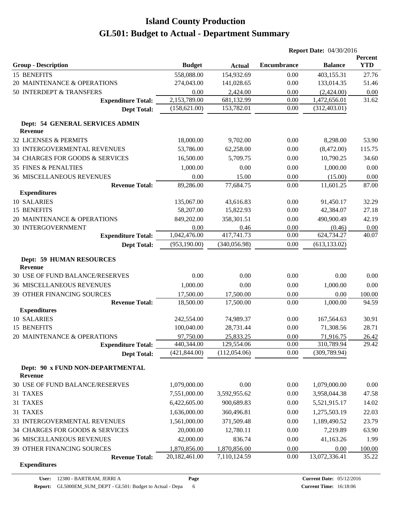|                                                    |               |               | <b>Report Date: 04/30/2016</b> |                |                       |
|----------------------------------------------------|---------------|---------------|--------------------------------|----------------|-----------------------|
| <b>Group - Description</b>                         | <b>Budget</b> | <b>Actual</b> | <b>Encumbrance</b>             | <b>Balance</b> | Percent<br><b>YTD</b> |
| 15 BENEFITS                                        | 558,088.00    | 154,932.69    | 0.00                           | 403,155.31     | 27.76                 |
| 20 MAINTENANCE & OPERATIONS                        | 274,043.00    | 141,028.65    | 0.00                           | 133,014.35     | 51.46                 |
| 50 INTERDEPT & TRANSFERS                           | 0.00          | 2,424.00      | 0.00                           | (2,424.00)     | 0.00                  |
| <b>Expenditure Total:</b>                          | 2,153,789.00  | 681,132.99    | 0.00                           | 1,472,656.01   | 31.62                 |
| <b>Dept Total:</b>                                 | (158, 621.00) | 153,782.01    | 0.00                           | (312, 403.01)  |                       |
| Dept: 54 GENERAL SERVICES ADMIN<br><b>Revenue</b>  |               |               |                                |                |                       |
| 32 LICENSES & PERMITS                              | 18,000.00     | 9,702.00      | 0.00                           | 8,298.00       | 53.90                 |
| 33 INTERGOVERMENTAL REVENUES                       | 53,786.00     | 62,258.00     | 0.00                           | (8,472.00)     | 115.75                |
| 34 CHARGES FOR GOODS & SERVICES                    | 16,500.00     | 5,709.75      | 0.00                           | 10,790.25      | 34.60                 |
| <b>35 FINES &amp; PENALTIES</b>                    | 1,000.00      | 0.00          | 0.00                           | 1,000.00       | 0.00                  |
| <b>36 MISCELLANEOUS REVENUES</b>                   | 0.00          | 15.00         | 0.00                           | (15.00)        | 0.00                  |
| <b>Revenue Total:</b>                              | 89,286.00     | 77,684.75     | 0.00                           | 11,601.25      | 87.00                 |
| <b>Expenditures</b>                                |               |               |                                |                |                       |
| 10 SALARIES                                        | 135,067.00    | 43,616.83     | 0.00                           | 91,450.17      | 32.29                 |
| 15 BENEFITS                                        | 58,207.00     | 15,822.93     | 0.00                           | 42,384.07      | 27.18                 |
| 20 MAINTENANCE & OPERATIONS                        | 849,202.00    | 358,301.51    | 0.00                           | 490,900.49     | 42.19                 |
| <b>30 INTERGOVERNMENT</b>                          | 0.00          | 0.46          | 0.00                           | (0.46)         | 0.00                  |
| <b>Expenditure Total:</b>                          | 1,042,476.00  | 417,741.73    | 0.00                           | 624,734.27     | 40.07                 |
| <b>Dept Total:</b>                                 | (953, 190.00) | (340, 056.98) | 0.00                           | (613, 133.02)  |                       |
| <b>Dept: 59 HUMAN RESOURCES</b><br><b>Revenue</b>  |               |               |                                |                |                       |
| 30 USE OF FUND BALANCE/RESERVES                    | 0.00          | 0.00          | 0.00                           | 0.00           | 0.00                  |
| <b>36 MISCELLANEOUS REVENUES</b>                   | 1,000.00      | 0.00          | 0.00                           | 1,000.00       | 0.00                  |
| 39 OTHER FINANCING SOURCES                         | 17,500.00     | 17,500.00     | 0.00                           | 0.00           | 100.00                |
| <b>Revenue Total:</b>                              | 18,500.00     | 17,500.00     | 0.00                           | 1,000.00       | 94.59                 |
| <b>Expenditures</b>                                |               |               |                                |                |                       |
| 10 SALARIES                                        | 242,554.00    | 74,989.37     | 0.00                           | 167,564.63     | 30.91                 |
| 15 BENEFITS                                        | 100,040.00    | 28,731.44     | 0.00                           | 71,308.56      | 28.71                 |
| 20 MAINTENANCE & OPERATIONS                        | 97,750.00     | 25,833.25     | 0.00                           | 71,916.75      | 26.42                 |
| <b>Expenditure Total:</b>                          | 440,344.00    | 129,554.06    | 0.00                           | 310,789.94     | 29.42                 |
| <b>Dept Total:</b>                                 | (421, 844.00) | (112,054.06)  | 0.00                           | (309, 789.94)  |                       |
| Dept: 90 x FUND NON-DEPARTMENTAL<br><b>Revenue</b> |               |               |                                |                |                       |
| 30 USE OF FUND BALANCE/RESERVES                    | 1,079,000.00  | 0.00          | 0.00                           | 1,079,000.00   | 0.00                  |
| 31 TAXES                                           | 7,551,000.00  | 3,592,955.62  | 0.00                           | 3,958,044.38   | 47.58                 |
| 31 TAXES                                           | 6,422,605.00  | 900,689.83    | 0.00                           | 5,521,915.17   | 14.02                 |
| 31 TAXES                                           | 1,636,000.00  | 360,496.81    | 0.00                           | 1,275,503.19   | 22.03                 |
| 33 INTERGOVERMENTAL REVENUES                       | 1,561,000.00  | 371,509.48    | 0.00                           | 1,189,490.52   | 23.79                 |
| 34 CHARGES FOR GOODS & SERVICES                    | 20,000.00     | 12,780.11     | 0.00                           | 7,219.89       | 63.90                 |
| <b>36 MISCELLANEOUS REVENUES</b>                   | 42,000.00     | 836.74        | 0.00                           | 41,163.26      | 1.99                  |
| 39 OTHER FINANCING SOURCES                         | 1,870,856.00  | 1,870,856.00  | 0.00                           | 0.00           | 100.00                |
| <b>Revenue Total:</b>                              | 20,182,461.00 | 7,110,124.59  | 0.00                           | 13,072,336.41  | 35.22                 |
| <b>Expenditures</b>                                |               |               |                                |                |                       |